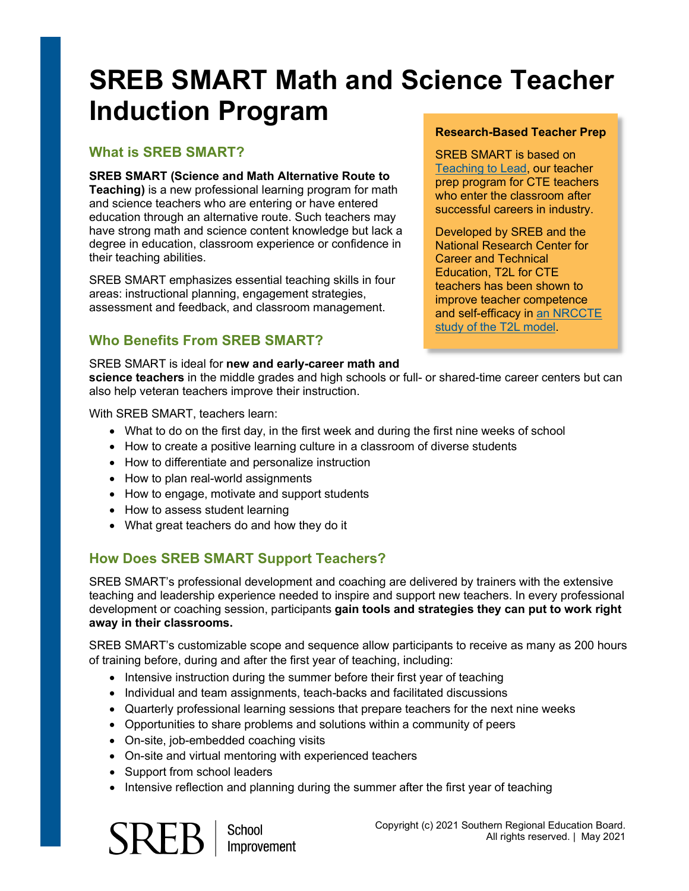# **SREB SMART Math and Science Teacher Induction Program**

#### **What is SREB SMART?**

#### **SREB SMART (Science and Math Alternative Route to**

**Teaching)** is a new professional learning program for math and science teachers who are entering or have entered education through an alternative route. Such teachers may have strong math and science content knowledge but lack a degree in education, classroom experience or confidence in their teaching abilities.

SREB SMART emphasizes essential teaching skills in four areas: instructional planning, engagement strategies, assessment and feedback, and classroom management.

## **Who Benefits From SREB SMART?**

#### **Research-Based Teacher Prep**

SREB SMART is based on [Teaching to Lead,](https://www.sreb.org/cte-teacher-preparation) our teacher prep program for CTE teachers who enter the classroom after successful careers in industry.

Developed by SREB and the National Research Center for Career and Technical Education, T2L for CTE teachers has been shown to improve teacher competence and self-efficacy in [an NRCCTE](https://www.sreb.org/sites/main/files/file-attachments/nrccte_sreb_alternative_certification.pdf?1597255632)  [study of the T2L model.](https://www.sreb.org/sites/main/files/file-attachments/nrccte_sreb_alternative_certification.pdf?1597255632)

SREB SMART is ideal for **new and early-career math and science teachers** in the middle grades and high schools or full- or shared-time career centers but can also help veteran teachers improve their instruction.

With SREB SMART, teachers learn:

- What to do on the first day, in the first week and during the first nine weeks of school
- How to create a positive learning culture in a classroom of diverse students
- How to differentiate and personalize instruction
- How to plan real-world assignments
- How to engage, motivate and support students
- How to assess student learning
- What great teachers do and how they do it

## **How Does SREB SMART Support Teachers?**

SREB SMART's professional development and coaching are delivered by trainers with the extensive teaching and leadership experience needed to inspire and support new teachers. In every professional development or coaching session, participants **gain tools and strategies they can put to work right away in their classrooms.**

SREB SMART's customizable scope and sequence allow participants to receive as many as 200 hours of training before, during and after the first year of teaching, including:

- Intensive instruction during the summer before their first year of teaching
- Individual and team assignments, teach-backs and facilitated discussions
- Quarterly professional learning sessions that prepare teachers for the next nine weeks
- Opportunities to share problems and solutions within a community of peers
- On-site, job-embedded coaching visits
- On-site and virtual mentoring with experienced teachers
- Support from school leaders
- Intensive reflection and planning during the summer after the first year of teaching



**School** Improvement Copyright (c) 2021 Southern Regional Education Board. All rights reserved. | May 2021